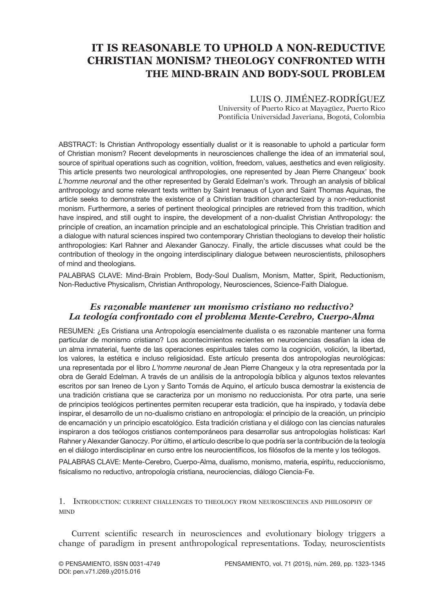# **It Is Reasonable to Uphold a Non-Reductive Christian Monism? Theology Confronted with the Mind-Brain and Body-Soul Problem**

# Luis O. Jiménez-Rodríguez

University of Puerto Rico at Mayagüez, Puerto Rico Pontificia Universidad Javeriana, Bogotá, Colombia

ABSTRACT: Is Christian Anthropology essentially dualist or it is reasonable to uphold a particular form of Christian monism? Recent developments in neurosciences challenge the idea of an immaterial soul, source of spiritual operations such as cognition, volition, freedom, values, aesthetics and even religiosity. This article presents two neurological anthropologies, one represented by Jean Pierre Changeux' book *L'homme neuronal* and the other represented by Gerald Edelman's work. Through an analysis of biblical anthropology and some relevant texts written by Saint Irenaeus of Lyon and Saint Thomas Aquinas, the article seeks to demonstrate the existence of a Christian tradition characterized by a non-reductionist monism. Furthermore, a series of pertinent theological principles are retrieved from this tradition, which have inspired, and still ought to inspire, the development of a non-dualist Christian Anthropology: the principle of creation, an incarnation principle and an eschatological principle. This Christian tradition and a dialogue with natural sciences inspired two contemporary Christian theologians to develop their holistic anthropologies: Karl Rahner and Alexander Ganoczy. Finally, the article discusses what could be the contribution of theology in the ongoing interdisciplinary dialogue between neuroscientists, philosophers of mind and theologians.

PALABRAS CLAVE: Mind-Brain Problem, Body-Soul Dualism, Monism, Matter, Spirit, Reductionism, Non-Reductive Physicalism, Christian Anthropology, Neurosciences, Science-Faith Dialogue.

# *Es razonable mantener un monismo cristiano no reductivo? La teología confrontado con el problema Mente-Cerebro, Cuerpo-Alma*

Resumen: ¿Es Cristiana una Antropología esencialmente dualista o es razonable mantener una forma particular de monismo cristiano? Los acontecimientos recientes en neurociencias desafían la idea de un alma inmaterial, fuente de las operaciones espirituales tales como la cognición, volición, la libertad, los valores, la estética e incluso religiosidad. Este artículo presenta dos antropologías neurológicas: una representada por el libro *L'homme neuronal* de Jean Pierre Changeux y la otra representada por la obra de Gerald Edelman. A través de un análisis de la antropología bíblica y algunos textos relevantes escritos por san Ireneo de Lyon y Santo Tomás de Aquino, el artículo busca demostrar la existencia de una tradición cristiana que se caracteriza por un monismo no reduccionista. Por otra parte, una serie de principios teológicos pertinentes permiten recuperar esta tradición, que ha inspirado, y todavía debe inspirar, el desarrollo de un no-dualismo cristiano en antropología: el principio de la creación, un principio de encarnación y un principio escatológico. Esta tradición cristiana y el diálogo con las ciencias naturales inspiraron a dos teólogos cristianos contemporáneos para desarrollar sus antropologías holísticas: Karl Rahner y Alexander Ganoczy. Por último, el artículo describe lo que podría ser la contribución de la teología en el diálogo interdisciplinar en curso entre los neurocientíficos, los filósofos de la mente y los teólogos.

PALABRAS CLAVE: Mente-Cerebro, Cuerpo-Alma, dualismo, monismo, materia, espíritu, reduccionismo, fisicalismo no reductivo, antropología cristiana, neurociencias, diálogo Ciencia-Fe.

1. Introduction: current challenges to theology from neurosciences and philosophy of **MIND** 

Current scientific research in neurosciences and evolutionary biology triggers a change of paradigm in present anthropological representations. Today, neuroscientists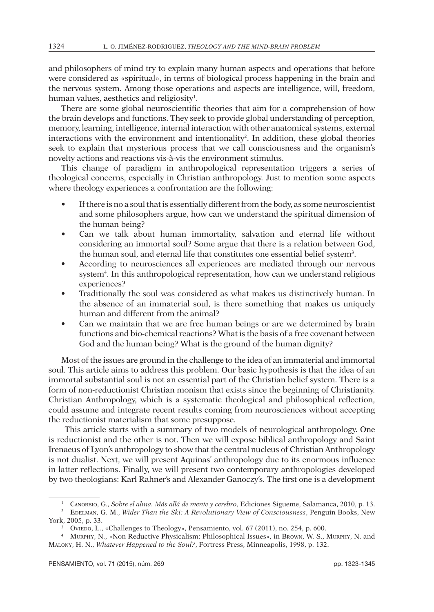and philosophers of mind try to explain many human aspects and operations that before were considered as «spiritual», in terms of biological process happening in the brain and the nervous system. Among those operations and aspects are intelligence, will, freedom, human values, aesthetics and religiosity<sup>1</sup>.

There are some global neuroscientific theories that aim for a comprehension of how the brain develops and functions. They seek to provide global understanding of perception, memory, learning, intelligence, internal interaction with other anatomical systems, external interactions with the environment and intentionality<sup>2</sup>. In addition, these global theories seek to explain that mysterious process that we call consciousness and the organism's novelty actions and reactions vis-à-vis the environment stimulus.

This change of paradigm in anthropological representation triggers a series of theological concerns, especially in Christian anthropology. Just to mention some aspects where theology experiences a confrontation are the following:

- If there is no a soul that is essentially different from the body, as some neuroscientist and some philosophers argue, how can we understand the spiritual dimension of the human being?
- • Can we talk about human immortality, salvation and eternal life without considering an immortal soul? Some argue that there is a relation between God, the human soul, and eternal life that constitutes one essential belief system3 .
- According to neurosciences all experiences are mediated through our nervous system<sup>4</sup>. In this anthropological representation, how can we understand religious experiences?
- Traditionally the soul was considered as what makes us distinctively human. In the absence of an immaterial soul, is there something that makes us uniquely human and different from the animal?
- Can we maintain that we are free human beings or are we determined by brain functions and bio-chemical reactions? What is the basis of a free covenant between God and the human being? What is the ground of the human dignity?

Most of the issues are ground in the challenge to the idea of an immaterial and immortal soul. This article aims to address this problem. Our basic hypothesis is that the idea of an immortal substantial soul is not an essential part of the Christian belief system. There is a form of non-reductionist Christian monism that exists since the beginning of Christianity. Christian Anthropology, which is a systematic theological and philosophical reflection, could assume and integrate recent results coming from neurosciences without accepting the reductionist materialism that some presuppose.

This article starts with a summary of two models of neurological anthropology. One is reductionist and the other is not. Then we will expose biblical anthropology and Saint Irenaeus of Lyon's anthropology to show that the central nucleus of Christian Anthropology is not dualist. Next, we will present Aquinas' anthropology due to its enormous influence in latter reflections. Finally, we will present two contemporary anthropologies developed by two theologians: Karl Rahner's and Alexander Ganoczy's. The first one is a development

<sup>1</sup> Canobbio, G., *Sobre el alma. Más allá de mente y cerebro*, Ediciones Sigueme, Salamanca, 2010, p. 13.

<sup>2</sup> Edelman, G. M., *Wider Than the Ski: A Revolutionary View of Consciousness*, Penguin Books, New York, 2005, p. 33.

<sup>3</sup> Oviedo, L., «Challenges to Theology», Pensamiento, vol. 67 (2011), no. 254, p. 600.

<sup>4</sup> Murphy, N., «Non Reductive Physicalism: Philosophical Issues», in Brown, W. S., Murphy, N. and Malony, H. N., *Whatever Happened to the Soul?*, Fortress Press, Minneapolis, 1998, p. 132.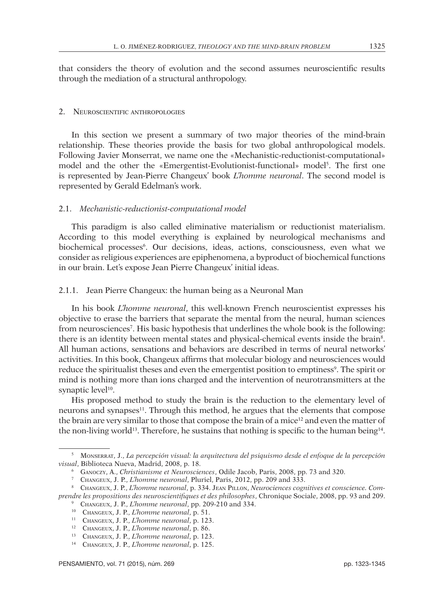that considers the theory of evolution and the second assumes neuroscientific results through the mediation of a structural anthropology.

#### 2. Neuroscientific anthropologies

In this section we present a summary of two major theories of the mind-brain relationship. These theories provide the basis for two global anthropological models. Following Javier Monserrat, we name one the «Mechanistic-reductionist-computational» model and the other the «Emergentist-Evolutionist-functional» model<sup>5</sup>. The first one is represented by Jean-Pierre Changeux' book *L'homme neuronal*. The second model is represented by Gerald Edelman's work.

## 2.1. *Mechanistic-reductionist-computational model*

This paradigm is also called eliminative materialism or reductionist materialism. According to this model everything is explained by neurological mechanisms and biochemical processes<sup>6</sup>. Our decisions, ideas, actions, consciousness, even what we consider as religious experiences are epiphenomena, a byproduct of biochemical functions in our brain. Let's expose Jean Pierre Changeux' initial ideas.

2.1.1. Jean Pierre Changeux: the human being as a Neuronal Man

In his book *L'homme neuronal*, this well-known French neuroscientist expresses his objective to erase the barriers that separate the mental from the neural, human sciences from neurosciences7 . His basic hypothesis that underlines the whole book is the following: there is an identity between mental states and physical-chemical events inside the brain8 . All human actions, sensations and behaviors are described in terms of neural networks' activities. In this book, Changeux affirms that molecular biology and neurosciences would reduce the spiritualist theses and even the emergentist position to emptiness<sup>9</sup>. The spirit or mind is nothing more than ions charged and the intervention of neurotransmitters at the synaptic level<sup>10</sup>.

His proposed method to study the brain is the reduction to the elementary level of neurons and synapses11. Through this method, he argues that the elements that compose the brain are very similar to those that compose the brain of a mice<sup>12</sup> and even the matter of the non-living world<sup>13</sup>. Therefore, he sustains that nothing is specific to the human being<sup>14</sup>.

<sup>5</sup> Monserrat, J., *La percepción visual: la arquitectura del psiquismo desde el enfoque de la percepción visual*, Biblioteca Nueva, Madrid, 2008, p. 18.

<sup>6</sup> Ganoczy, A., *Christianisme et Neurosciences*, Odile Jacob, Paris, 2008, pp. 73 and 320.

<sup>7</sup> Changeux, J. P., *L'homme neuronal*, Pluriel, Paris, 2012, pp. 209 and 333.

<sup>8</sup> Changeux, J. P., *L'homme neuronal*, p. 334. Jean Pillon, *Neurociences cognitives et conscience. Comprendre les propositions des neuroscientifiques et des philosophes*, Chronique Sociale, 2008, pp. 93 and 209. <sup>9</sup> Changeux, J. P., *L'homme neuronal*, pp. 209-210 and 334.

<sup>10</sup> Changeux, J. P., *L'homme neuronal*, p. 51.

<sup>11</sup> Changeux, J. P., *L'homme neuronal*, p. 123.

<sup>12</sup> Changeux, J. P., *L'homme neuronal*, p. 86.

<sup>13</sup> Changeux, J. P., *L'homme neuronal*, p. 123.

<sup>14</sup> Changeux, J. P., *L'homme neuronal*, p. 125.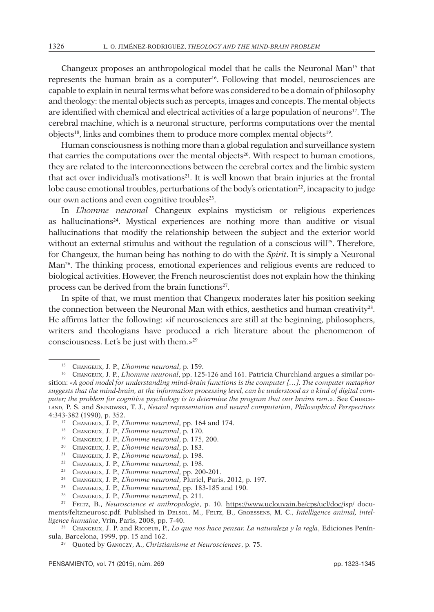Changeux proposes an anthropological model that he calls the Neuronal Man15 that represents the human brain as a computer<sup>16</sup>. Following that model, neurosciences are capable to explain in neural terms what before was considered to be a domain of philosophy and theology: the mental objects such as percepts, images and concepts. The mental objects are identified with chemical and electrical activities of a large population of neurons<sup>17</sup>. The cerebral machine, which is a neuronal structure, performs computations over the mental objects<sup>18</sup>, links and combines them to produce more complex mental objects<sup>19</sup>.

Human consciousness is nothing more than a global regulation and surveillance system that carries the computations over the mental objects<sup>20</sup>. With respect to human emotions, they are related to the interconnections between the cerebral cortex and the limbic system that act over individual's motivations<sup>21</sup>. It is well known that brain injuries at the frontal lobe cause emotional troubles, perturbations of the body's orientation<sup>22</sup>, incapacity to judge our own actions and even cognitive troubles<sup>23</sup>.

In *L'homme neuronal* Changeux explains mysticism or religious experiences as hallucinations<sup>24</sup>. Mystical experiences are nothing more than auditive or visual hallucinations that modify the relationship between the subject and the exterior world without an external stimulus and without the regulation of a conscious will $25$ . Therefore, for Changeux, the human being has nothing to do with the *Spirit*. It is simply a Neuronal Man26. The thinking process, emotional experiences and religious events are reduced to biological activities. However, the French neuroscientist does not explain how the thinking process can be derived from the brain functions<sup>27</sup>.

In spite of that, we must mention that Changeux moderates later his position seeking the connection between the Neuronal Man with ethics, aesthetics and human creativity $2^8$ . He affirms latter the following: «if neurosciences are still at the beginning, philosophers, writers and theologians have produced a rich literature about the phenomenon of consciousness. Let's be just with them.»29

- <sup>19</sup> Changeux, J. P., *L'homme neuronal*, p. 175, 200.
- <sup>20</sup> Changeux, J. P., *L'homme neuronal*, p. 183.
- <sup>21</sup> Changeux, J. P., *L'homme neuronal*, p. 198.
- <sup>22</sup> Changeux, J. P., *L'homme neuronal*, p. 198.
- <sup>23</sup> Changeux, J. P., *L'homme neuronal*, pp. 200-201.
- <sup>24</sup> Changeux, J. P., *L'homme neuronal*, Pluriel, Paris, 2012, p. 197.
- <sup>25</sup> Changeux, J. P., *L'homme neuronal*, pp. 183-185 and 190.
- <sup>26</sup> Changeux, J. P., *L'homme neuronal*, p. 211.

<sup>15</sup> Changeux, J. P., *L'homme neuronal*, p. 159.

<sup>16</sup> Changeux, J. P., *L'homme neuronal*, pp. 125-126 and 161. Patricia Churchland argues a similar position: «*A good model for understanding mind-brain functions is the computer […]. The computer metaphor suggests that the mind-brain, at the information processing level, can be understood as a kind of digital computer; the problem for cognitive psychology is to determine the program that our brains run*.». See Churchland, P. S. and Sejnowski, T. J., *Neural representation and neural computation*, *Philosophical Perspectives* 4:343-382 (1990), p. 352.

<sup>17</sup> Changeux, J. P., *L'homme neuronal*, pp. 164 and 174.

<sup>18</sup> Changeux, J. P., *L'homme neuronal*, p. 170.

<sup>27</sup> Feltz, B., *Neuroscience et anthropologie*, p. 10. https://www.uclouvain.be/cps/ucl/doc/isp/ documents/feltzneurosc.pdf. Published in Delsol, M., Feltz, B., Groessens, M. C., *Intelligence animal, intelligence humaine*, Vrin, Paris, 2008, pp. 7-40.<br><sup>28</sup> CHANGEUX, J. P. and RICOEUR, P., *Lo que nos hace pensar. La naturaleza y la regla*, Ediciones Penín-

sula, Barcelona, 1999, pp. 15 and 162.

<sup>29</sup> Quoted by Ganoczy, A., *Christianisme et Neurosciences*, p. 75.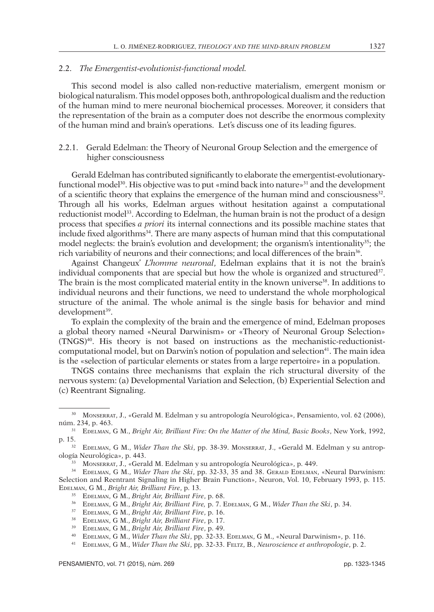## 2.2. *The Emergentist-evolutionist-functional model.*

This second model is also called non-reductive materialism, emergent monism or biological naturalism. This model opposes both, anthropological dualism and the reduction of the human mind to mere neuronal biochemical processes. Moreover, it considers that the representation of the brain as a computer does not describe the enormous complexity of the human mind and brain's operations. Let's discuss one of its leading figures.

## 2.2.1. Gerald Edelman: the Theory of Neuronal Group Selection and the emergence of higher consciousness

Gerald Edelman has contributed significantly to elaborate the emergentist-evolutionaryfunctional model<sup>30</sup>. His objective was to put «mind back into nature»<sup>31</sup> and the development of a scientific theory that explains the emergence of the human mind and consciousness<sup>32</sup>. Through all his works, Edelman argues without hesitation against a computational reductionist model<sup>33</sup>. According to Edelman, the human brain is not the product of a design process that specifies *a priori* its internal connections and its possible machine states that include fixed algorithms34. There are many aspects of human mind that this computational model neglects: the brain's evolution and development; the organism's intentionality<sup>35</sup>; the rich variability of neurons and their connections; and local differences of the brain36.

Against Changeux' *L'homme neuronal*, Edelman explains that it is not the brain's individual components that are special but how the whole is organized and structured<sup>37</sup>. The brain is the most complicated material entity in the known universe<sup>38</sup>. In additions to individual neurons and their functions, we need to understand the whole morphological structure of the animal. The whole animal is the single basis for behavior and mind development<sup>39</sup>.

To explain the complexity of the brain and the emergence of mind, Edelman proposes a global theory named «Neural Darwinism» or «Theory of Neuronal Group Selection» (TNGS)40. His theory is not based on instructions as the mechanistic-reductionistcomputational model, but on Darwin's notion of population and selection<sup>41</sup>. The main idea is the «selection of particular elements or states from a large repertoire» in a population.

TNGS contains three mechanisms that explain the rich structural diversity of the nervous system: (a) Developmental Variation and Selection, (b) Experiential Selection and (c) Reentrant Signaling.

<sup>30</sup> Monserrat, J., «Gerald M. Edelman y su antropología Neurológica», Pensamiento, vol. 62 (2006), núm. 234, p. 463.

<sup>31</sup> Edelman, G M., *Bright Air, Brilliant Fire: On the Matter of the Mind, Basic Books*, New York, 1992, p. 15.

<sup>&</sup>lt;sup>32</sup> EDELMAN, G M., *Wider Than the Ski*, pp. 38-39. Monserrat, J., «Gerald M. Edelman y su antropología Neurológica», p. 443.

<sup>33</sup> Monserrat, J., «Gerald M. Edelman y su antropología Neurológica», p. 449.

<sup>&</sup>lt;sup>34</sup> EDELMAN, G M., *Wider Than the Ski*, pp. 32-33, 35 and 38. GERALD EDELMAN, «Neural Darwinism: Selection and Reentrant Signaling in Higher Brain Function», Neuron, Vol. 10, February 1993, p. 115. Edelman, G M., *Bright Air, Brilliant Fire*, p. 13.

<sup>35</sup> Edelman, G M., *Bright Air, Brilliant Fire*, p. 68.

<sup>36</sup> Edelman, G M., *Bright Air, Brilliant Fire,* p. 7. Edelman, G M., *Wider Than the Ski*, p. 34.

<sup>37</sup> Edelman, G M., *Bright Air, Brilliant Fire*, p. 16.

<sup>38</sup> Edelman, G M., *Bright Air, Brilliant Fire*, p. 17.

<sup>39</sup> Edelman, G M., *Bright Air, Brilliant Fire*, p. 49.

<sup>40</sup> Edelman, G M., *Wider Than the Ski*, pp. 32-33. Edelman, G M., «Neural Darwinism», p. 116.

<sup>41</sup> Edelman, G M., *Wider Than the Ski*, pp. 32-33. Feltz, B., *Neuroscience et anthropologie*, p. 2.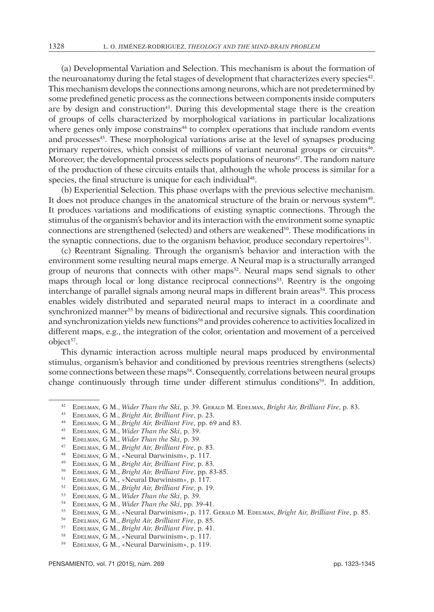(a) Developmental Variation and Selection. This mechanism is about the formation of the neuroanatomy during the fetal stages of development that characterizes every species<sup>42</sup>. This mechanism develops the connections among neurons, which are not predetermined by some predefined genetic process as the connections between components inside computers are by design and construction43. During this developmental stage there is the creation of groups of cells characterized by morphological variations in particular localizations where genes only impose constrains<sup>44</sup> to complex operations that include random events and processes<sup>45</sup>. These morphological variations arise at the level of synapses producing primary repertoires, which consist of millions of variant neuronal groups or circuits<sup>46</sup>. Moreover, the developmental process selects populations of neurons $47$ . The random nature of the production of these circuits entails that, although the whole process is similar for a species, the final structure is unique for each individual<sup>48</sup>.

(b) Experiential Selection. This phase overlaps with the previous selective mechanism. It does not produce changes in the anatomical structure of the brain or nervous system49. It produces variations and modifications of existing synaptic connections. Through the stimulus of the organism's behavior and its interaction with the environment some synaptic connections are strengthened (selected) and others are weakened50. These modifications in the synaptic connections, due to the organism behavior, produce secondary repertoires<sup>51</sup>.

(c) Reentrant Signaling. Through the organism's behavior and interaction with the environment some resulting neural maps emerge. A Neural map is a structurally arranged group of neurons that connects with other maps<sup>52</sup>. Neural maps send signals to other maps through local or long distance reciprocal connections53. Reentry is the ongoing interchange of parallel signals among neural maps in different brain areas<sup>54</sup>. This process enables widely distributed and separated neural maps to interact in a coordinate and synchronized manner<sup>55</sup> by means of bidirectional and recursive signals. This coordination and synchronization yields new functions<sup>56</sup> and provides coherence to activities localized in different maps, e.g., the integration of the color, orientation and movement of a perceived object<sup>57</sup>.

This dynamic interaction across multiple neural maps produced by environmental stimulus, organism's behavior and conditioned by previous reentries strengthens (selects) some connections between these maps<sup>58</sup>. Consequently, correlations between neural groups change continuously through time under different stimulus conditions<sup>59</sup>. In addition,

- <sup>47</sup> Edelman, G M., *Bright Air, Brilliant Fire*, p. 83.
- <sup>48</sup> EDELMAN, G M., «Neural Darwinism», p. 117.<br><sup>49</sup> EDELMAN, G M., *Bright Air, Brilliant Fire*, p. 83.
- 
- <sup>50</sup> EDELMAN, G M., *Bright Air, Brilliant Fire*, pp. 83-85.<br><sup>51</sup> EDELMAN, G M., «Neural Darwinism», p. 117.
- 
- <sup>52</sup> Edelman, G M., *Bright Air, Brilliant Fire*, p. 19.
- <sup>53</sup> Edelman, G M., *Wider Than the Ski*, p. 39.
- <sup>54</sup> Edelman, G M., *Wider Than the Ski*, pp. 39-41.
- <sup>55</sup> Edelman, G M., «Neural Darwinism», p. 117. Gerald M. Edelman, *Bright Air, Brilliant Fire*, p. 85.
- <sup>56</sup> Edelman, G M., *Bright Air, Brilliant Fire*, p. 85.
- <sup>57</sup> Edelman, G M., *Bright Air, Brilliant Fire*, p. 41.
- <sup>58</sup> Edelman, G M., «Neural Darwinism», p. 117.
- <sup>59</sup> Edelman, G M., «Neural Darwinism», p. 119.

<sup>42</sup> Edelman, G M., *Wider Than the Ski*, p. 39. Gerald M. Edelman, *Bright Air, Brilliant Fire*, p. 83.

<sup>43</sup> Edelman, G M., *Bright Air, Brilliant Fire*, p. 23.

<sup>44</sup> Edelman, G M., *Bright Air, Brilliant Fire*, pp. 69 and 83.

<sup>45</sup> Edelman, G M., *Wider Than the Ski*, p. 39.

<sup>46</sup> Edelman, G M., *Wider Than the Ski*, p. 39.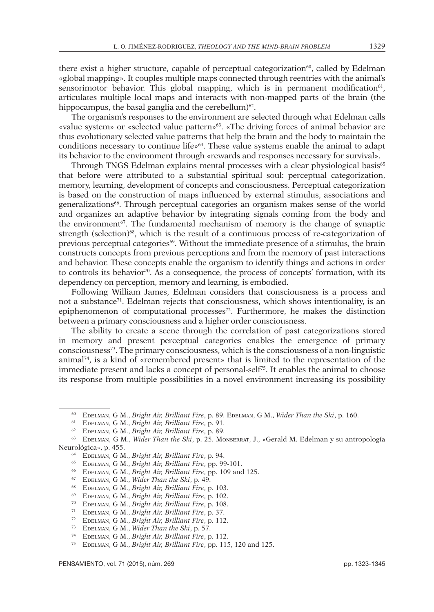there exist a higher structure, capable of perceptual categorization $60$ , called by Edelman «global mapping». It couples multiple maps connected through reentries with the animal's sensorimotor behavior. This global mapping, which is in permanent modification<sup>61</sup>, articulates multiple local maps and interacts with non-mapped parts of the brain (the hippocampus, the basal ganglia and the cerebellum) $62$ .

The organism's responses to the environment are selected through what Edelman calls «value system» or «selected value pattern»63. «The driving forces of animal behavior are thus evolutionary selected value patterns that help the brain and the body to maintain the conditions necessary to continue life»64. These value systems enable the animal to adapt its behavior to the environment through «rewards and responses necessary for survival».

Through TNGS Edelman explains mental processes with a clear physiological basis<sup>65</sup> that before were attributed to a substantial spiritual soul: perceptual categorization, memory, learning, development of concepts and consciousness. Perceptual categorization is based on the construction of maps influenced by external stimulus, associations and generalizations66. Through perceptual categories an organism makes sense of the world and organizes an adaptive behavior by integrating signals coming from the body and the environment<sup> $67$ </sup>. The fundamental mechanism of memory is the change of synaptic strength (selection)<sup>68</sup>, which is the result of a continuous process of re-categorization of previous perceptual categories69. Without the immediate presence of a stimulus, the brain constructs concepts from previous perceptions and from the memory of past interactions and behavior. These concepts enable the organism to identify things and actions in order to controls its behavior $70$ . As a consequence, the process of concepts' formation, with its dependency on perception, memory and learning, is embodied.

Following William James, Edelman considers that consciousness is a process and not a substance<sup>71</sup>. Edelman rejects that consciousness, which shows intentionality, is an epiphenomenon of computational processes72. Furthermore, he makes the distinction between a primary consciousness and a higher order consciousness.

The ability to create a scene through the correlation of past categorizations stored in memory and present perceptual categories enables the emergence of primary consciousness73. The primary consciousness, which is the consciousness of a non-linguistic animal74, is a kind of «remembered present» that is limited to the representation of the immediate present and lacks a concept of personal-self75. It enables the animal to choose its response from multiple possibilities in a novel environment increasing its possibility

- <sup>68</sup> Edelman, G M., *Bright Air, Brilliant Fire*, p. 103.
- <sup>69</sup> Edelman, G M., *Bright Air, Brilliant Fire*, p. 102.
- <sup>70</sup> Edelman, G M., *Bright Air, Brilliant Fire*, p. 108.

- <sup>72</sup> Edelman, G M., *Bright Air, Brilliant Fire*, p. 112.
- <sup>73</sup> Edelman, G M., *Wider Than the Ski*, p. 57.

<sup>60</sup> Edelman, G M., *Bright Air, Brilliant Fire*, p. 89. Edelman, G M., *Wider Than the Ski*, p. 160.

<sup>61</sup> Edelman, G M., *Bright Air, Brilliant Fire*, p. 91.

<sup>62</sup> Edelman, G M., *Bright Air, Brilliant Fire*, p. 89.

<sup>63</sup> Edelman, G M., *Wider Than the Ski*, p. 25. Monserrat, J., «Gerald M. Edelman y su antropología Neurológica», p. 455.

<sup>64</sup> Edelman, G M., *Bright Air, Brilliant Fire*, p. 94.

<sup>65</sup> Edelman, G M., *Bright Air, Brilliant Fire*, pp. 99-101.

<sup>66</sup> Edelman, G M., *Bright Air, Brilliant Fire*, pp. 109 and 125.

<sup>67</sup> Edelman, G M., *Wider Than the Ski*, p. 49.

<sup>71</sup> Edelman, G M., *Bright Air, Brilliant Fire*, p. 37.

<sup>74</sup> Edelman, G M., *Bright Air, Brilliant Fire*, p. 112.

<sup>75</sup> Edelman, G M., *Bright Air, Brilliant Fire*, pp. 115, 120 and 125.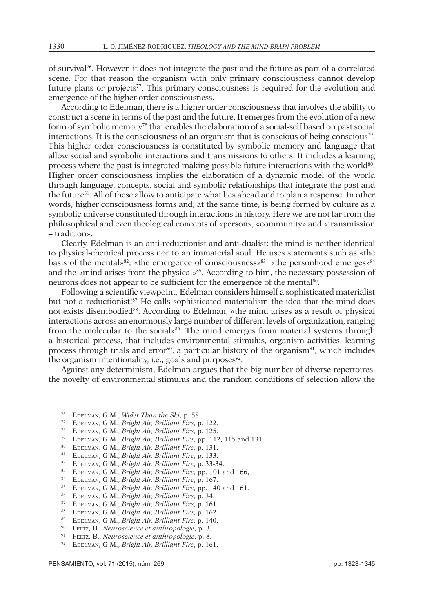of survival76. However, it does not integrate the past and the future as part of a correlated scene. For that reason the organism with only primary consciousness cannot develop future plans or projects77. This primary consciousness is required for the evolution and emergence of the higher-order consciousness.

According to Edelman, there is a higher order consciousness that involves the ability to construct a scene in terms of the past and the future. It emerges from the evolution of a new form of symbolic memory78 that enables the elaboration of a social-self based on past social interactions. It is the consciousness of an organism that is conscious of being conscious<sup>79</sup>. This higher order consciousness is constituted by symbolic memory and language that allow social and symbolic interactions and transmissions to others. It includes a learning process where the past is integrated making possible future interactions with the world<sup>80</sup>. Higher order consciousness implies the elaboration of a dynamic model of the world through language, concepts, social and symbolic relationships that integrate the past and the future<sup>81</sup>. All of these allow to anticipate what lies ahead and to plan a response. In other words, higher consciousness forms and, at the same time, is being formed by culture as a symbolic universe constituted through interactions in history. Here we are not far from the philosophical and even theological concepts of «person», «community» and «transmission – tradition».

Clearly, Edelman is an anti-reductionist and anti-dualist: the mind is neither identical to physical-chemical process nor to an immaterial soul. He uses statements such as «the basis of the mental» $82$ , «the emergence of consciousness» $83$ , «the personhood emerges» $84$ and the «mind arises from the physical»85. According to him, the necessary possession of neurons does not appear to be sufficient for the emergence of the mental<sup>86</sup>.

Following a scientific viewpoint, Edelman considers himself a sophisticated materialist but not a reductionist!<sup>87</sup> He calls sophisticated materialism the idea that the mind does not exists disembodied<sup>88</sup>. According to Edelman, «the mind arises as a result of physical interactions across an enormously large number of different levels of organization, ranging from the molecular to the social»<sup>89</sup>. The mind emerges from material systems through a historical process, that includes environmental stimulus, organism activities, learning process through trials and error<sup>90</sup>, a particular history of the organism<sup>91</sup>, which includes the organism intentionality, i.e., goals and purposes $92$ .

Against any determinism, Edelman argues that the big number of diverse repertoires, the novelty of environmental stimulus and the random conditions of selection allow the

- <sup>79</sup> Edelman, G M., *Bright Air, Brilliant Fire*, pp. 112, 115 and 131.
- <sup>80</sup> Edelman, G M., *Bright Air, Brilliant Fire*, p. 131.
- <sup>81</sup> Edelman, G M., *Bright Air, Brilliant Fire*, p. 133.
- <sup>82</sup> Edelman, G M., *Bright Air, Brilliant Fire*, p. 33-34.
- 
- 84 EDELMAN, G M., *Bright Air, Brilliant Fire*, p. 167.
- <sup>85</sup> Edelman, G M., *Bright Air, Brilliant Fire*, pp. 140 and 161.
- <sup>86</sup> Edelman, G M., *Bright Air, Brilliant Fire*, p. 34.
- <sup>87</sup> Edelman, G M., *Bright Air, Brilliant Fire*, p. 161.
- <sup>88</sup> Edelman, G M., *Bright Air, Brilliant Fire*, p. 162.
- <sup>89</sup> Edelman, G M., *Bright Air, Brilliant Fire*, p. 140.
- <sup>90</sup> Feltz, B., *Neuroscience et anthropologie*, p. 3.

<sup>92</sup> Edelman, G M., *Bright Air, Brilliant Fire*, p. 161.

<sup>76</sup> Edelman, G M., *Wider Than the Ski*, p. 58.

<sup>77</sup> Edelman, G M., *Bright Air, Brilliant Fire*, p. 122.

<sup>78</sup> Edelman, G M., *Bright Air, Brilliant Fire*, p. 125.

<sup>91</sup> Feltz, B., *Neuroscience et anthropologie*, p. 8.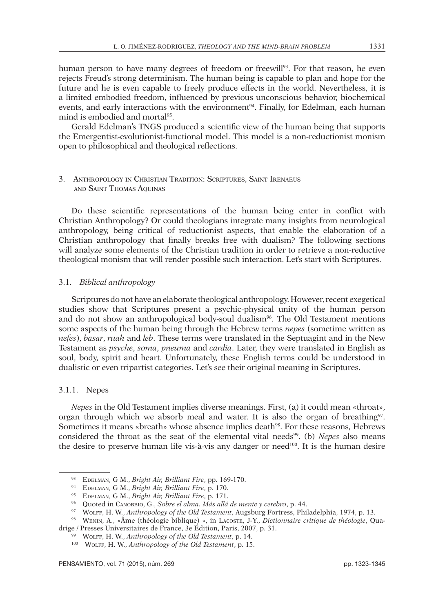human person to have many degrees of freedom or freewill<sup>93</sup>. For that reason, he even rejects Freud's strong determinism. The human being is capable to plan and hope for the future and he is even capable to freely produce effects in the world. Nevertheless, it is a limited embodied freedom, influenced by previous unconscious behavior, biochemical events, and early interactions with the environment $94$ . Finally, for Edelman, each human mind is embodied and mortal<sup>95</sup>.

Gerald Edelman's TNGS produced a scientific view of the human being that supports the Emergentist-evolutionist-functional model. This model is a non-reductionist monism open to philosophical and theological reflections.

## 3. Anthropology in Christian Tradition: Scriptures, Saint Irenaeus and Saint Thomas Aquinas

Do these scientific representations of the human being enter in conflict with Christian Anthropology? Or could theologians integrate many insights from neurological anthropology, being critical of reductionist aspects, that enable the elaboration of a Christian anthropology that finally breaks free with dualism? The following sections will analyze some elements of the Christian tradition in order to retrieve a non-reductive theological monism that will render possible such interaction. Let's start with Scriptures.

# 3.1. *Biblical anthropology*

Scriptures do not have an elaborate theological anthropology. However, recent exegetical studies show that Scriptures present a psychic-physical unity of the human person and do not show an anthropological body-soul dualism $96$ . The Old Testament mentions some aspects of the human being through the Hebrew terms *nepes* (sometime written as *nefes*), *basar*, *ruah* and *leb*. These terms were translated in the Septuagint and in the New Testament as *psyche*, *soma*, *pneuma* and *cardia*. Later, they were translated in English as soul, body, spirit and heart. Unfortunately, these English terms could be understood in dualistic or even tripartist categories. Let's see their original meaning in Scriptures.

## 3.1.1. Nepes

*Nepes* in the Old Testament implies diverse meanings. First, (a) it could mean «throat», organ through which we absorb meal and water. It is also the organ of breathing<sup>97</sup>. Sometimes it means «breath» whose absence implies death<sup>98</sup>. For these reasons, Hebrews considered the throat as the seat of the elemental vital needs99. (b) *Nepes* also means the desire to preserve human life vis-à-vis any danger or need100. It is the human desire

<sup>93</sup> Edelman, G M., *Bright Air, Brilliant Fire*, pp. 169-170.

<sup>94</sup> Edelman, G M., *Bright Air, Brilliant Fire*, p. 170.

<sup>95</sup> Edelman, G M., *Bright Air, Brilliant Fire*, p. 171.

<sup>96</sup> Quoted in Canobbio, G., *Sobre el alma. Más allá de mente y cerebro*, p. 44.

<sup>97</sup> Wolff, H. W., *Anthropology of the Old Testament*, Augsburg Fortress, Philadelphia, 1974, p. 13.

<sup>98</sup> Wenin, A., «Âme (théologie biblique) », in Lacoste, J-Y., *Dictionnaire critique de théologie*, Quadrige / Presses Universitaires de France, 3e Édition, Paris, 2007, p. 31.

<sup>99</sup> Wolff, H. W., *Anthropology of the Old Testament*, p. 14.

<sup>100</sup> Wolff, H. W., *Anthropology of the Old Testament*, p. 15.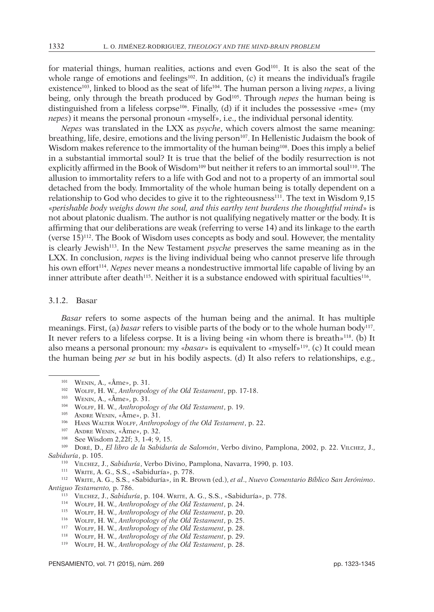for material things, human realities, actions and even  $God<sup>101</sup>$ . It is also the seat of the whole range of emotions and feelings<sup>102</sup>. In addition, (c) it means the individual's fragile existence103, linked to blood as the seat of life104. The human person a living *nepes*, a living being, only through the breath produced by God<sup>105</sup>. Through *nepes* the human being is distinguished from a lifeless corpse<sup>106</sup>. Finally, (d) if it includes the possessive «me» (my *nepes*) it means the personal pronoun «myself», i.e., the individual personal identity.

*Nepes* was translated in the LXX as *psyche*, which covers almost the same meaning: breathing, life, desire, emotions and the living person<sup>107</sup>. In Hellenistic Judaism the book of Wisdom makes reference to the immortality of the human being<sup>108</sup>. Does this imply a belief in a substantial immortal soul? It is true that the belief of the bodily resurrection is not explicitly affirmed in the Book of Wisdom<sup>109</sup> but neither it refers to an immortal soul<sup>110</sup>. The allusion to immortality refers to a life with God and not to a property of an immortal soul detached from the body. Immortality of the whole human being is totally dependent on a relationship to God who decides to give it to the righteousness<sup>111</sup>. The text in Wisdom 9,15 «*perishable body weighs down the soul, and this earthy tent burdens the thoughtful mind*» is not about platonic dualism. The author is not qualifying negatively matter or the body. It is affirming that our deliberations are weak (referring to verse 14) and its linkage to the earth (verse  $15)^{112}$ . The Book of Wisdom uses concepts as body and soul. However, the mentality is clearly Jewish113. In the New Testament *psyche* preserves the same meaning as in the LXX. In conclusion, *nepes* is the living individual being who cannot preserve life through his own effort114. *Nepes* never means a nondestructive immortal life capable of living by an inner attribute after death<sup>115</sup>. Neither it is a substance endowed with spiritual faculties<sup>116</sup>.

## 3.1.2. Basar

*Basar* refers to some aspects of the human being and the animal. It has multiple meanings. First, (a) *basar* refers to visible parts of the body or to the whole human body<sup>117</sup>. It never refers to a lifeless corpse. It is a living being «in whom there is breath»<sup>118</sup>. (b) It also means a personal pronoun: my «*basar*» is equivalent to «myself»119. (c) It could mean the human being *per se* but in his bodily aspects. (d) It also refers to relationships, e.g.,

<sup>101</sup> Wenin, A., «Âme», p. 31.

<sup>102</sup> Wolff, H. W., *Anthropology of the Old Testament*, pp. 17-18.

<sup>103</sup> Wenin, A., «Âme», p. 31.

<sup>104</sup> Wolff, H. W., *Anthropology of the Old Testament*, p. 19.

<sup>105</sup> Andre Wenin, «Âme», p. 31.

<sup>106</sup> Hans Walter Wolff, *Anthropology of the Old Testament*, p. 22.

<sup>107</sup> Andre Wenin, «Âme», p. 32.

<sup>108</sup> See Wisdom 2,22f; 3, 1-4; 9, 15.

<sup>109</sup> Doré, D., *El libro de la Sabiduría de Salomón*, Verbo divino, Pamplona, 2002, p. 22. Vilchez, J., *Sabiduría*, p. 105.

<sup>110</sup> Vilchez, J., *Sabiduría*, Verbo Divino, Pamplona, Navarra, 1990, p. 103.

<sup>111</sup> Write, A. G., S.S., «Sabiduría», p. 778.

<sup>112</sup> Write, A. G., S.S., «Sabiduría», in R. Brown (ed.), *et al*., *Nuevo Comentario Bíblico San Jerónimo*. A*ntiguo Testamento,* p. 786.

<sup>113</sup> Vilchez, J., *Sabiduría*, p. 104. Write, A. G., S.S., «Sabiduría», p. 778.

<sup>114</sup> Wolff, H. W., *Anthropology of the Old Testament*, p. 24.

<sup>115</sup> Wolff, H. W., *Anthropology of the Old Testament*, p. 20.

<sup>116</sup> Wolff, H. W., *Anthropology of the Old Testament*, p. 25.

<sup>117</sup> Wolff, H. W., *Anthropology of the Old Testament*, p. 28.

<sup>118</sup> Wolff, H. W., *Anthropology of the Old Testament*, p. 29.

<sup>119</sup> Wolff, H. W., *Anthropology of the Old Testament*, p. 28.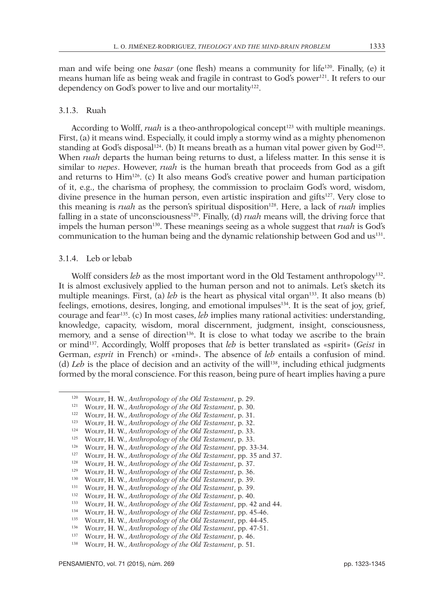man and wife being one *basar* (one flesh) means a community for life120. Finally, (e) it means human life as being weak and fragile in contrast to God's power121. It refers to our dependency on God's power to live and our mortality<sup>122</sup>.

## 3.1.3. Ruah

According to Wolff, *ruah* is a theo-anthropological concept<sup>123</sup> with multiple meanings. First, (a) it means wind. Especially, it could imply a stormy wind as a mighty phenomenon standing at God's disposal<sup>124</sup>. (b) It means breath as a human vital power given by God<sup>125</sup>. When *ruah* departs the human being returns to dust, a lifeless matter. In this sense it is similar to *nepes*. However, *ruah* is the human breath that proceeds from God as a gift and returns to Him126. (c) It also means God's creative power and human participation of it, e.g., the charisma of prophesy, the commission to proclaim God's word, wisdom, divine presence in the human person, even artistic inspiration and gifts<sup>127</sup>. Very close to this meaning is *ruah* as the person's spiritual disposition<sup>128</sup>. Here, a lack of *ruah* implies falling in a state of unconsciousness<sup>129</sup>. Finally, (d) *ruah* means will, the driving force that impels the human person<sup>130</sup>. These meanings seeing as a whole suggest that *ruah* is God's communication to the human being and the dynamic relationship between God and us131.

#### 3.1.4. Leb or lebab

Wolff considers *leb* as the most important word in the Old Testament anthropology<sup>132</sup>. It is almost exclusively applied to the human person and not to animals. Let's sketch its multiple meanings. First, (a) *leb* is the heart as physical vital organ<sup>133</sup>. It also means (b) feelings, emotions, desires, longing, and emotional impulses<sup>134</sup>. It is the seat of joy, grief, courage and fear135. (c) In most cases, *leb* implies many rational activities: understanding, knowledge, capacity, wisdom, moral discernment, judgment, insight, consciousness, memory, and a sense of direction<sup>136</sup>. It is close to what today we ascribe to the brain or mind137. Accordingly, Wolff proposes that *leb* is better translated as «spirit» (*Geist* in German, *esprit* in French) or «mind». The absence of *leb* entails a confusion of mind. (d) *Leb* is the place of decision and an activity of the will<sup>138</sup>, including ethical judgments formed by the moral conscience. For this reason, being pure of heart implies having a pure

<sup>120</sup> Wolff, H. W., *Anthropology of the Old Testament*, p. 29.

<sup>121</sup> Wolff, H. W., *Anthropology of the Old Testament*, p. 30.

<sup>122</sup> Wolff, H. W., *Anthropology of the Old Testament*, p. 31.

<sup>123</sup> Wolff, H. W., *Anthropology of the Old Testament*, p. 32.

<sup>124</sup> Wolff, H. W., *Anthropology of the Old Testament*, p. 33.

<sup>125</sup> Wolff, H. W., *Anthropology of the Old Testament*, p. 33.

<sup>126</sup> Wolff, H. W., *Anthropology of the Old Testament*, pp. 33-34.

<sup>127</sup> Wolff, H. W., *Anthropology of the Old Testament*, pp. 35 and 37.

<sup>128</sup> Wolff, H. W., *Anthropology of the Old Testament*, p. 37.

<sup>129</sup> Wolff, H. W., *Anthropology of the Old Testament*, p. 36.

<sup>130</sup> Wolff, H. W., *Anthropology of the Old Testament*, p. 39.

<sup>131</sup> Wolff, H. W., *Anthropology of the Old Testament*, p. 39. <sup>132</sup> Wolff, H. W., *Anthropology of the Old Testament*, p. 40.

<sup>133</sup> Wolff, H. W., *Anthropology of the Old Testament*, pp. 42 and 44.

<sup>134</sup> Wolff, H. W., *Anthropology of the Old Testament*, pp. 45-46.

<sup>135</sup> Wolff, H. W., *Anthropology of the Old Testament*, pp. 44-45.

<sup>136</sup> Wolff, H. W., *Anthropology of the Old Testament*, pp. 47-51.

<sup>137</sup> Wolff, H. W., *Anthropology of the Old Testament*, p. 46.

<sup>138</sup> Wolff, H. W., *Anthropology of the Old Testament*, p. 51.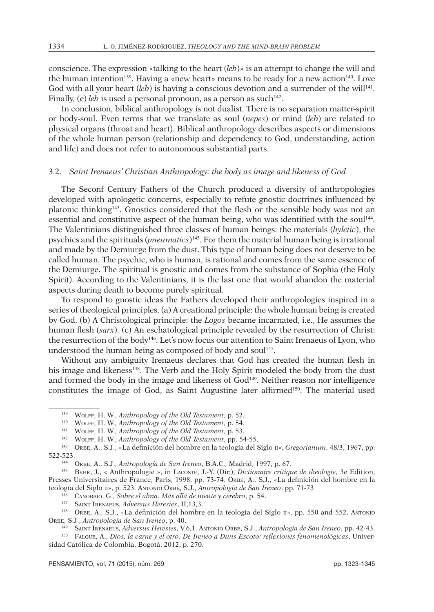conscience. The expression «talking to the heart (*leb*)» is an attempt to change the will and the human intention<sup>139</sup>. Having a «new heart» means to be ready for a new action<sup>140</sup>. Love God with all your heart (*leb*) is having a conscious devotion and a surrender of the will<sup>141</sup>. Finally, (e) *leb* is used a personal pronoun, as a person as such<sup>142</sup>.

In conclusion, biblical anthropology is not dualist. There is no separation matter-spirit or body-soul. Even terms that we translate as soul (*nepes*) or mind (*leb*) are related to physical organs (throat and heart). Biblical anthropology describes aspects or dimensions of the whole human person (relationship and dependency to God, understanding, action and life) and does not refer to autonomous substantial parts.

## 3.2. *Saint Irenaeus' Christian Anthropology: the body as image and likeness of God*

The Seconf Century Fathers of the Church produced a diversity of anthropologies developed with apologetic concerns, especially to refute gnostic doctrines influenced by platonic thinking<sup>143</sup>. Gnostics considered that the flesh or the sensible body was not an essential and constitutive aspect of the human being, who was identified with the soul<sup>144</sup>. The Valentinians distinguished three classes of human beings: the materials (*hyletic*), the psychics and the spirituals (*pneumatics*)145. For them the material human being is irrational and made by the Demiurge from the dust. This type of human being does not deserve to be called human. The psychic, who is human, is rational and comes from the same essence of the Demiurge. The spiritual is gnostic and comes from the substance of Sophia (the Holy Spirit). According to the Valentinians, it is the last one that would abandon the material aspects during death to become purely spiritual.

To respond to gnostic ideas the Fathers developed their anthropologies inspired in a series of theological principles. (a) A creational principle: the whole human being is created by God. (b) A Christological principle: the *Logos* became incarnated, i.e., He assumes the human flesh (*sarx*). (c) An eschatological principle revealed by the resurrection of Christ: the resurrection of the body<sup>146</sup>. Let's now focus our attention to Saint Irenaeus of Lyon, who understood the human being as composed of body and soul<sup>147</sup>.

Without any ambiguity Irenaeus declares that God has created the human flesh in his image and likeness<sup>148</sup>. The Verb and the Holy Spirit modeled the body from the dust and formed the body in the image and likeness of  $God<sup>149</sup>$ . Neither reason nor intelligence constitutes the image of God, as Saint Augustine later affirmed<sup>150</sup>. The material used

<sup>140</sup> Wolff, H. W., *Anthropology of the Old Testament*, p. 54.

<sup>139</sup> Wolff, H. W., *Anthropology of the Old Testament*, p. 52.

<sup>141</sup> Wolff, H. W., *Anthropology of the Old Testament*, p. 53.

<sup>142</sup> Wolff, H. W., *Anthropology of the Old Testament*, pp. 54-55.

<sup>143</sup> Orbe, A., S.J., «La definición del hombre en la teología del Siglo ii», *Gregorianum*, 48/3, 1967, pp. 522-523.

<sup>144</sup> Orbe, A., S.J., *Antropología de San Ireneo*, B.A.C., Madrid, 1997, p. 67.

<sup>145</sup> Behr, J., « Anthropologie », in Lacoste, J.-Y. (Dir.), *Dictionaire critique de théologie*, 3e Edition, Presses Universitaires de France, Paris, 1998, pp. 73-74. ORBE, A., S.J., «La definición del hombre en la teología del Siglo ii», p. 523. Antonio Orbe, S.J., *Antropología de San Ireneo*, pp. 71-73

<sup>146</sup> Canobbio, G., *Sobre el alma. Más allá de mente y cerebro*, p. 54.

<sup>147</sup> Saint Irenaeus, *Adversus Heresies*, II,13,3.

<sup>148</sup> Orbe, A., S.J., «La definición del hombre en la teología del Siglo ii», pp. 550 and 552. Antonio Orbe, S.J., *Antropología de San Ireneo*, p. 40.

<sup>149</sup> Saint Irenaeus, *Adversus Heresies*, V,6,1. Antonio Orbe, S.J., *Antropología de San Ireneo*, pp. 42-43.

<sup>150</sup> Falque, A., *Dios, la carne y el otro. De Ireneo a Duns Escoto: reflexiones fenomenológicas*, Universidad Católica de Colombia, Bogotá, 2012, p. 270.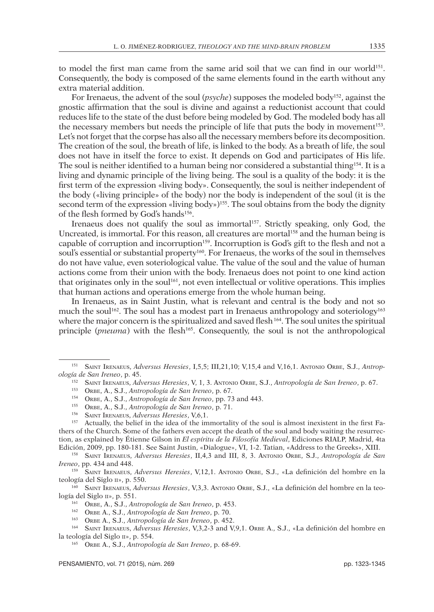to model the first man came from the same arid soil that we can find in our world<sup>151</sup>. Consequently, the body is composed of the same elements found in the earth without any extra material addition.

For Irenaeus, the advent of the soul (*psyche*) supposes the modeled body152, against the gnostic affirmation that the soul is divine and against a reductionist account that could reduces life to the state of the dust before being modeled by God. The modeled body has all the necessary members but needs the principle of life that puts the body in movement<sup>153</sup>. Let's not forget that the corpse has also all the necessary members before its decomposition. The creation of the soul, the breath of life, is linked to the body. As a breath of life, the soul does not have in itself the force to exist. It depends on God and participates of His life. The soul is neither identified to a human being nor considered a substantial thing<sup>154</sup>. It is a living and dynamic principle of the living being. The soul is a quality of the body: it is the first term of the expression «living body». Consequently, the soul is neither independent of the body («living principle» of the body) nor the body is independent of the soul (it is the second term of the expression «living body»)<sup>155</sup>. The soul obtains from the body the dignity of the flesh formed by God's hands<sup>156</sup>.

Irenaeus does not qualify the soul as immortal<sup>157</sup>. Strictly speaking, only God, the Uncreated, is immortal. For this reason, all creatures are mortal<sup>158</sup> and the human being is capable of corruption and incorruption<sup>159</sup>. Incorruption is God's gift to the flesh and not a soul's essential or substantial property<sup>160</sup>. For Irenaeus, the works of the soul in themselves do not have value, even soteriological value. The value of the soul and the value of human actions come from their union with the body. Irenaeus does not point to one kind action that originates only in the soul<sup>161</sup>, not even intellectual or volitive operations. This implies that human actions and operations emerge from the whole human being.

In Irenaeus, as in Saint Justin, what is relevant and central is the body and not so much the soul<sup>162</sup>. The soul has a modest part in Irenaeus anthropology and soteriology<sup>163</sup> where the major concern is the spiritualized and saved flesh 164. The soul unites the spiritual principle (*pneuma*) with the flesh<sup>165</sup>. Consequently, the soul is not the anthropological

<sup>157</sup> Actually, the belief in the idea of the immortality of the soul is almost inexistent in the first Fathers of the Church. Some of the fathers even accept the death of the soul and body waiting the resurrection, as explained by Étienne Gilson in *El espíritu de la Filosofía Medieval*, Ediciones RIALP, Madrid, 4ta Edición, 2009, pp. 180-181. See Saint Justin, «Dialogue», VI, 1-2. Tatian, «Address to the Greeks», XIII. 158 Saint Irenaeus, *Adversus Heresies*, II,4,3 and III, 8, 3. Antonio Orbe, S.J., *Antropología de San* 

*Ireneo*, pp. 434 and 448.

<sup>159</sup> Saint Irenaeus, *Adversus Heresies*, V,12,1. Antonio Orbe, S.J., «La definición del hombre en la teología del Siglo ii», p. 550.

<sup>160</sup> Saint Irenaeus, *Adversus Heresies*, V,3,3. Antonio Orbe, S.J., «La definición del hombre en la teología del Siglo II», p. 551.

<sup>151</sup> Saint Irenaeus, *Adversus Heresies*, I,5,5; III,21,10; V,15,4 and V,16,1. Antonio Orbe, S.J., *Antropología de San Ireneo*, p. 45. 152 Saint Irenaeus, *Adversus Heresies*, V, 1, 3. Antonio Orbe, S.J., *Antropología de San Ireneo*, p. 67.

<sup>153</sup> Orbe, A., S.J., *Antropología de San Ireneo*, p. 67.

<sup>154</sup> Orbe, A., S.J., *Antropología de San Ireneo*, pp. 73 and 443.

<sup>155</sup> Orbe, A., S.J., *Antropología de San Ireneo*, p. 71.

<sup>156</sup> Saint Irenaeus, *Adversus Heresies*, V,6,1.

<sup>161</sup> Orbe, A., S.J., *Antropología de San Ireneo*, p. 453.

<sup>162</sup> Orbe A., S.J., *Antropología de San Ireneo*, p. 70.

<sup>163</sup> Orbe A., S.J., *Antropología de San Ireneo*, p. 452.

<sup>164</sup> Saint Irenaeus, *Adversus Heresies*, V,3,2-3 and V,9,1. Orbe A., S.J., «La definición del hombre en la teología del Siglo II», p. 554.

<sup>165</sup> Orbe A., S.J., *Antropología de San Ireneo*, p. 68-69.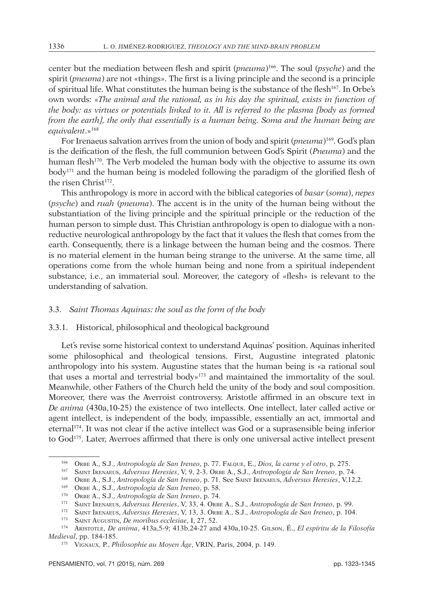center but the mediation between flesh and spirit (*pneuma*)166. The soul (*psyche*) and the spirit (*pneuma*) are not «things». The first is a living principle and the second is a principle of spiritual life. What constitutes the human being is the substance of the flesh<sup>167</sup>. In Orbe's own words: «*The animal and the rational, as in his day the spiritual, exists in function of the body: as virtues or potentials linked to it. All is referred to the plasma [body as formed from the earth], the only that essentially is a human being. Soma and the human being are equivalent*.»168

For Irenaeus salvation arrives from the union of body and spirit (*pneuma*)169. God's plan is the deification of the flesh, the full communion between God's Spirit (*Pneuma*) and the human flesh<sup>170</sup>. The Verb modeled the human body with the objective to assume its own body171 and the human being is modeled following the paradigm of the glorified flesh of the risen Christ<sup>172</sup>.

This anthropology is more in accord with the biblical categories of *basar* (*soma*), *nepes* (*psyche*) and *ruah* (*pneuma*). The accent is in the unity of the human being without the substantiation of the living principle and the spiritual principle or the reduction of the human person to simple dust. This Christian anthropology is open to dialogue with a nonreductive neurological anthropology by the fact that it values the flesh that comes from the earth. Consequently, there is a linkage between the human being and the cosmos. There is no material element in the human being strange to the universe. At the same time, all operations come from the whole human being and none from a spiritual independent substance, i.e., an immaterial soul. Moreover, the category of «flesh» is relevant to the understanding of salvation.

#### 3.3. *Saint Thomas Aquinas: the soul as the form of the body*

## 3.3.1. Historical, philosophical and theological background

Let's revise some historical context to understand Aquinas' position. Aquinas inherited some philosophical and theological tensions. First, Augustine integrated platonic anthropology into his system. Augustine states that the human being is «a rational soul that uses a mortal and terrestrial body»173 and maintained the immortality of the soul. Meanwhile, other Fathers of the Church held the unity of the body and soul composition. Moreover, there was the Averroist controversy. Aristotle affirmed in an obscure text in *De anima* (430a,10-25) the existence of two intellects. One intellect, later called active or agent intellect, is independent of the body, impassible, essentially an act, immortal and eternal174. It was not clear if the active intellect was God or a suprasensible being inferior to God<sup>175</sup>. Later, Averroes affirmed that there is only one universal active intellect present

<sup>166</sup> Orbe A., S.J., *Antropología de San Ireneo*, p. 77. Falque, E., *Dios, la carne y el otro*, p. 275.

<sup>167</sup> Saint Irenaeus, *Adversus Heresies*, V, 9, 2-3. Orbe A., S.J., *Antropología de San Ireneo*, p. 74.

<sup>168</sup> Orbe A., S.J., *Antropología de San Ireneo*, p. 71. See Saint Irenaeus, *Adversus Heresies*, V,12,2.

<sup>169</sup> Orbe A., S.J., *Antropología de San Ireneo*, p. 58.

<sup>170</sup> Orbe A., S.J., *Antropología de San Ireneo*, p. 74.

<sup>171</sup> Saint Irenaeus, *Adversus Heresies*, V, 33, 4. Orbe A., S.J., *Antropología de San Ireneo*, p. 99.

<sup>172</sup> Saint Irenaeus, *Adversus Heresies*, V, 13, 3. Orbe A., S.J., *Antropología de San Ireneo*, p. 104.

<sup>173</sup> Saint Augustin, *De moribus ecclesiae*, I, 27, 52.

<sup>174</sup> Aristotle, *De anima*, 413a,5-9; 413b,24-27 and 430a,10-25. Gilson, É., *El espíritu de la Filosofía Medieval*, pp. 184-185. 175 Vignaux, P., *Philosophie au Moyen Âge*, VRIN, Paris, 2004, p. 149.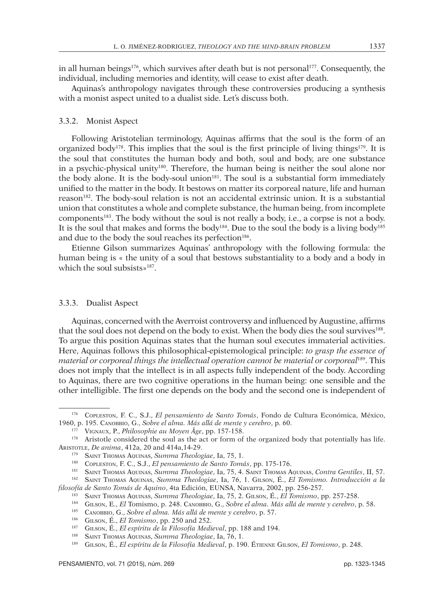in all human beings<sup>176</sup>, which survives after death but is not personal<sup>177</sup>. Consequently, the individual, including memories and identity, will cease to exist after death.

Aquinas's anthropology navigates through these controversies producing a synthesis with a monist aspect united to a dualist side. Let's discuss both.

#### 3.3.2. Monist Aspect

Following Aristotelian terminology, Aquinas affirms that the soul is the form of an organized body<sup>178</sup>. This implies that the soul is the first principle of living things<sup>179</sup>. It is the soul that constitutes the human body and both, soul and body, are one substance in a psychic-physical unity180. Therefore, the human being is neither the soul alone nor the body alone. It is the body-soul union<sup>181</sup>. The soul is a substantial form immediately unified to the matter in the body. It bestows on matter its corporeal nature, life and human reason182. The body-soul relation is not an accidental extrinsic union. It is a substantial union that constitutes a whole and complete substance, the human being, from incomplete components183. The body without the soul is not really a body, i.e., a corpse is not a body. It is the soul that makes and forms the body184. Due to the soul the body is a living body185 and due to the body the soul reaches its perfection<sup>186</sup>.

Etienne Gilson summarizes Aquinas' anthropology with the following formula: the human being is « the unity of a soul that bestows substantiality to a body and a body in which the soul subsists»<sup>187</sup>.

#### 3.3.3. Dualist Aspect

Aquinas, concerned with the Averroist controversy and influenced by Augustine, affirms that the soul does not depend on the body to exist. When the body dies the soul survives<sup>188</sup>. To argue this position Aquinas states that the human soul executes immaterial activities. Here, Aquinas follows this philosophical-epistemological principle: *to grasp the essence of material or corporeal things the intellectual operation cannot be material or corporeal*189. This does not imply that the intellect is in all aspects fully independent of the body. According to Aquinas, there are two cognitive operations in the human being: one sensible and the other intelligible. The first one depends on the body and the second one is independent of

<sup>176</sup> Copleston, F. C., S.J., *El pensamiento de Santo Tomás*, Fondo de Cultura Económica, México, 1960, p. 195. Canobbio, G., *Sobre el alma. Más allá de mente y cerebro*, p. 60.

<sup>177</sup> Vignaux, P., *Philosophie au Moyen Âge*, pp. 157-158.

<sup>&</sup>lt;sup>178</sup> Aristotle considered the soul as the act or form of the organized body that potentially has life. Aristotle, *De anima*, 412a, 20 and 414a,14-29.

<sup>179</sup> Saint Thomas Aquinas, *Summa Theologiae*, Ia, 75, 1.

<sup>180</sup> Copleston, F. C., S.J., *El pensamiento de Santo Tomás*, pp. 175-176.

<sup>181</sup> Saint Thomas Aquinas, *Summa Theologiae*, Ia, 75, 4. Saint Thomas Aquinas, *Contra Gentiles*, II, 57.

<sup>182</sup> Saint Thomas Aquinas, *Summa Theologiae*, Ia, 76, 1. Gilson, É., *El Tomismo. Introducción a la filosofía de Santo Tomás de Aquino*, 4ta Edición, EUNSA, Navarra, 2002, pp. 256-257.

<sup>183</sup> Saint Thomas Aquinas, *Summa Theologiae*, Ia, 75, 2. Gilson, É., *El Tomismo*, pp. 257-258.

<sup>184</sup> Gilson, E., *El* Tomismo, p. 248. Canobbio, G., *Sobre el alma. Más allá de mente y cerebro*, p. 58.

<sup>185</sup> Canobbio, G., *Sobre el alma. Más allá de mente y cerebro*, p. 57.

<sup>186</sup> Gilson, É., *El Tomismo*, pp. 250 and 252.

<sup>187</sup> Gilson, É., *El espíritu de la Filosofía Medieval*, pp. 188 and 194.

<sup>&</sup>lt;sup>188</sup> SAINT THOMAS AQUINAS, *Summa Theologiae*, Ia, 76, 1.<br><sup>189</sup> Gusoni É. El espíritu de la Filosofía Medieval, p. 190

<sup>189</sup> Gilson, É., *El espíritu de la Filosofía Medieval*, p. 190. Étienne Gilson, *El Tomismo*, p. 248.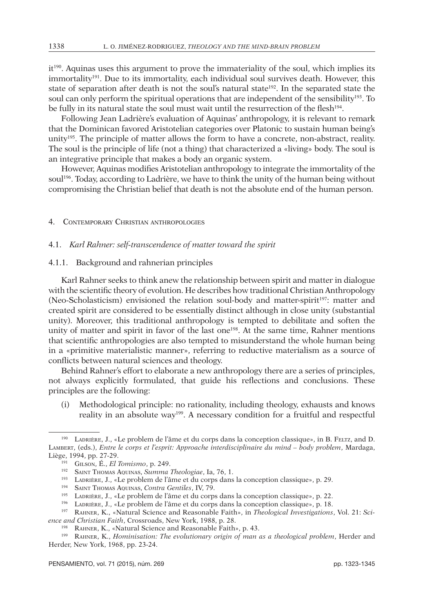it190. Aquinas uses this argument to prove the immateriality of the soul, which implies its immortality<sup>191</sup>. Due to its immortality, each individual soul survives death. However, this state of separation after death is not the soul's natural state<sup>192</sup>. In the separated state the soul can only perform the spiritual operations that are independent of the sensibility<sup>193</sup>. To be fully in its natural state the soul must wait until the resurrection of the flesh<sup>194</sup>.

Following Jean Ladrière's evaluation of Aquinas' anthropology, it is relevant to remark that the Dominican favored Aristotelian categories over Platonic to sustain human being's unity<sup>195</sup>. The principle of matter allows the form to have a concrete, non-abstract, reality. The soul is the principle of life (not a thing) that characterized a «living» body. The soul is an integrative principle that makes a body an organic system.

However, Aquinas modifies Aristotelian anthropology to integrate the immortality of the soul<sup>196</sup>. Today, according to Ladrière, we have to think the unity of the human being without compromising the Christian belief that death is not the absolute end of the human person.

#### 4. Contemporary Christian anthropologies

## 4.1. *Karl Rahner: self-transcendence of matter toward the spirit*

#### 4.1.1. Background and rahnerian principles

Karl Rahner seeks to think anew the relationship between spirit and matter in dialogue with the scientific theory of evolution. He describes how traditional Christian Anthropology (Neo-Scholasticism) envisioned the relation soul-body and matter-spirit<sup>197</sup>: matter and created spirit are considered to be essentially distinct although in close unity (substantial unity). Moreover, this traditional anthropology is tempted to debilitate and soften the unity of matter and spirit in favor of the last one<sup>198</sup>. At the same time, Rahner mentions that scientific anthropologies are also tempted to misunderstand the whole human being in a «primitive materialistic manner», referring to reductive materialism as a source of conflicts between natural sciences and theology.

Behind Rahner's effort to elaborate a new anthropology there are a series of principles, not always explicitly formulated, that guide his reflections and conclusions. These principles are the following:

(i) Methodological principle: no rationality, including theology, exhausts and knows reality in an absolute way199. A necessary condition for a fruitful and respectful

<sup>190</sup> Ladrière, J., «Le problem de l'âme et du corps dans la conception classique», in B. Feltz, and D. Lambert, (eds.), *Entre le corps et l'esprit: Approache interdisciplinaire du mind – body problem*, Mardaga, Liège, 1994, pp. 27-29.

<sup>191</sup> Gilson, É., *El Tomismo*, p. 249.

<sup>192</sup> Saint Thomas Aquinas, *Summa Theologiae*, Ia, 76, 1.

<sup>193</sup> Ladrière, J., «Le problem de l'âme et du corps dans la conception classique», p. 29.

<sup>194</sup> Saint Thomas Aquinas, *Contra Gentiles*, IV, 79.

<sup>195</sup> Ladrière, J., «Le problem de l'âme et du corps dans la conception classique», p. 22.

<sup>196</sup> Ladrière, J., «Le problem de l'âme et du corps dans la conception classique», p. 18.

<sup>197</sup> Rahner, K., «Natural Science and Reasonable Faith», in *Theological Investigations*, Vol. 21: *Science and Christian Faith*, Crossroads, New York, 1988, p. 28.

<sup>198</sup> Rahner, K., «Natural Science and Reasonable Faith», p. 43.

<sup>199</sup> Rahner, K., *Hominisation: The evolutionary origin of man as a theological problem*, Herder and Herder, New York, 1968, pp. 23-24.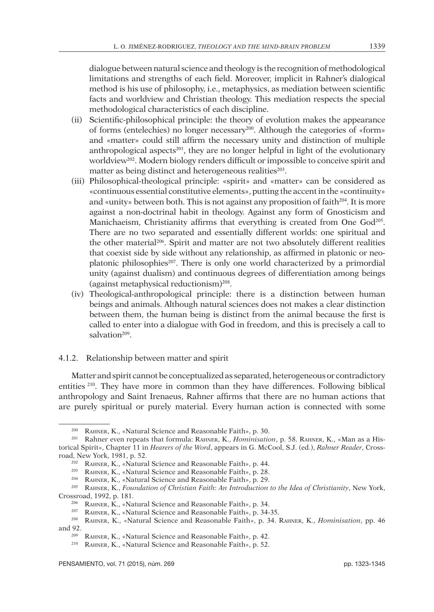dialogue between natural science and theology is the recognition of methodological limitations and strengths of each field. Moreover, implicit in Rahner's dialogical method is his use of philosophy, i.e., metaphysics, as mediation between scientific facts and worldview and Christian theology. This mediation respects the special methodological characteristics of each discipline.

- (ii) Scientific-philosophical principle: the theory of evolution makes the appearance of forms (entelechies) no longer necessary200. Although the categories of «form» and «matter» could still affirm the necessary unity and distinction of multiple anthropological aspects $201$ , they are no longer helpful in light of the evolutionary worldview<sup>202</sup>. Modern biology renders difficult or impossible to conceive spirit and matter as being distinct and heterogeneous realities<sup>203</sup>.
- (iii) Philosophical-theological principle: «spirit» and «matter» can be considered as «continuous essential constitutive elements», putting the accent in the «continuity» and «unity» between both. This is not against any proposition of faith<sup>204</sup>. It is more against a non-doctrinal habit in theology. Against any form of Gnosticism and Manichaeism, Christianity affirms that everything is created from One God<sup>205</sup>. There are no two separated and essentially different worlds: one spiritual and the other material<sup>206</sup>. Spirit and matter are not two absolutely different realities that coexist side by side without any relationship, as affirmed in platonic or neoplatonic philosophies<sup>207</sup>. There is only one world characterized by a primordial unity (against dualism) and continuous degrees of differentiation among beings (against metaphysical reductionism)208.
- (iv) Theological-anthropological principle: there is a distinction between human beings and animals. Although natural sciences does not makes a clear distinction between them, the human being is distinct from the animal because the first is called to enter into a dialogue with God in freedom, and this is precisely a call to salvation<sup>209</sup>.

## 4.1.2. Relationship between matter and spirit

Matter and spirit cannot be conceptualized as separated, heterogeneous or contradictory entities 210. They have more in common than they have differences. Following biblical anthropology and Saint Irenaeus, Rahner affirms that there are no human actions that are purely spiritual or purely material. Every human action is connected with some

<sup>200</sup> Rahner, K., «Natural Science and Reasonable Faith», p. 30.

<sup>201</sup> Rahner even repeats that formula: Rahner, K., *Hominisation*, p. 58. Rahner, K., «Man as a Historical Spirit», Chapter 11 in *Hearers of the Word*, appears in G. McCool, S.J. (ed.), *Rahner Reader*, Crossroad, New York, 1981, p. 52.

<sup>202</sup> Rahner, K., «Natural Science and Reasonable Faith», p. 44.

<sup>203</sup> Rahner, K., «Natural Science and Reasonable Faith», p. 28.

<sup>204</sup> Rahner, K., «Natural Science and Reasonable Faith», p. 29.

<sup>205</sup> Rahner, K., *Foundation of Christian Faith*: *An Introduction to the Idea of Christianity*, New York, Crossroad, 1992, p. 181.

<sup>206</sup> Rahner, K., «Natural Science and Reasonable Faith», p. 34.

<sup>207</sup> Rahner, K., «Natural Science and Reasonable Faith», p. 34-35.

<sup>208</sup> Rahner, K., «Natural Science and Reasonable Faith», p. 34. Rahner, K., *Hominisation*, pp. 46 and 92.

RAHNER, K., «Natural Science and Reasonable Faith», p. 42.

 $^{210}$   $\,$  RAHNER, K., «Natural Science and Reasonable Faith», p. 52.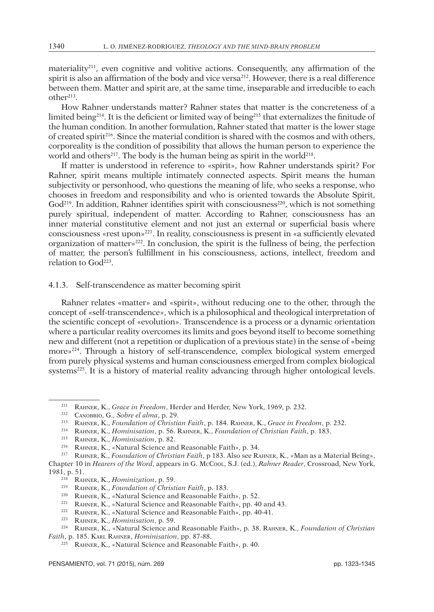materiality<sup>211</sup>, even cognitive and volitive actions. Consequently, any affirmation of the spirit is also an affirmation of the body and vice versa<sup>212</sup>. However, there is a real difference between them. Matter and spirit are, at the same time, inseparable and irreducible to each other213.

How Rahner understands matter? Rahner states that matter is the concreteness of a limited being<sup>214</sup>. It is the deficient or limited way of being<sup>215</sup> that externalizes the finitude of the human condition. In another formulation, Rahner stated that matter is the lower stage of created spirit<sup>216</sup>. Since the material condition is shared with the cosmos and with others, corporeality is the condition of possibility that allows the human person to experience the world and others<sup>217</sup>. The body is the human being as spirit in the world<sup>218</sup>.

If matter is understood in reference to «spirit», how Rahner understands spirit? For Rahner, spirit means multiple intimately connected aspects. Spirit means the human subjectivity or personhood, who questions the meaning of life, who seeks a response, who chooses in freedom and responsibility and who is oriented towards the Absolute Spirit,  $God<sup>219</sup>$ . In addition, Rahner identifies spirit with consciousness<sup>220</sup>, which is not something purely spiritual, independent of matter. According to Rahner, consciousness has an inner material constitutive element and not just an external or superficial basis where consciousness «rest upon»221. In reality, consciousness is present in «a sufficiently elevated organization of matter»222. In conclusion, the spirit is the fullness of being, the perfection of matter, the person's fulfillment in his consciousness, actions, intellect, freedom and relation to  $God<sup>223</sup>$ .

## 4.1.3. Self-transcendence as matter becoming spirit

Rahner relates «matter» and «spirit», without reducing one to the other, through the concept of «self-transcendence», which is a philosophical and theological interpretation of the scientific concept of «evolution». Transcendence is a process or a dynamic orientation where a particular reality overcomes its limits and goes beyond itself to become something new and different (not a repetition or duplication of a previous state) in the sense of «being more»224. Through a history of self-transcendence, complex biological system emerged from purely physical systems and human consciousness emerged from complex biological systems<sup>225</sup>. It is a history of material reality advancing through higher ontological levels.

<sup>211</sup> Rahner, K., *Grace in Freedom*, Herder and Herder, New York, 1969, p. 232.

<sup>212</sup> Canobbio, G., *Sobre el alma*, p. 29.

<sup>213</sup> Rahner, K., *Foundation of Christian Faith*, p. 184. Rahner, K., *Grace in Freedom*, p. 232.

<sup>214</sup> Rahner, K., *Hominisation*, p. 56. Rahner, K., *Foundation of Christian Faith*, p. 183.

<sup>215</sup> Rahner, K., *Hominisation*, p. 82.

<sup>216</sup> Rahner, K., «Natural Science and Reasonable Faith», p. 34.

<sup>217</sup> Rahner, K., *Foundation of Christian Faith*, p 183. Also see Rahner, K., «Man as a Material Being»,

Chapter 10 in *Hearers of the Word*, appears in G. McCool, S.J. (ed.), *Rahner Reader*, Crossroad, New York, 1981, p. 51.

<sup>218</sup> Rahner, K., *Hominization*, p. 59.

<sup>219</sup> Rahner, K., *Foundation of Christian Faith*, p. 183.

<sup>220</sup> Rahner, K., «Natural Science and Reasonable Faith», p. 52.

<sup>&</sup>lt;sup>221</sup> RAHNER, K., «Natural Science and Reasonable Faith», pp. 40 and 43.

<sup>222</sup> Rahner, K., «Natural Science and Reasonable Faith», pp. 40-41.

<sup>223</sup> Rahner, K., *Hominisation*, p. 59.

<sup>224</sup> Rahner, K., «Natural Science and Reasonable Faith», p. 38. Rahner, K., *Foundation of Christian Faith*, p. 185. Karl Rahner, *Hominisation*, pp. 87-88.

<sup>225</sup> Rahner, K., «Natural Science and Reasonable Faith», p. 40.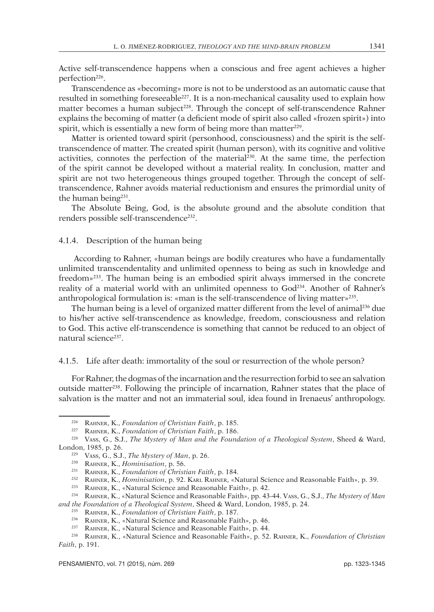Active self-transcendence happens when a conscious and free agent achieves a higher perfection<sup>226</sup>.

Transcendence as «becoming» more is not to be understood as an automatic cause that resulted in something foreseeable227. It is a non-mechanical causality used to explain how matter becomes a human subject<sup>228</sup>. Through the concept of self-transcendence Rahner explains the becoming of matter (a deficient mode of spirit also called «frozen spirit») into spirit, which is essentially a new form of being more than matter<sup>229</sup>.

Matter is oriented toward spirit (personhood, consciousness) and the spirit is the selftranscendence of matter. The created spirit (human person), with its cognitive and volitive activities, connotes the perfection of the material<sup>230</sup>. At the same time, the perfection of the spirit cannot be developed without a material reality. In conclusion, matter and spirit are not two heterogeneous things grouped together. Through the concept of selftranscendence, Rahner avoids material reductionism and ensures the primordial unity of the human being<sup>231</sup>.

The Absolute Being, God, is the absolute ground and the absolute condition that renders possible self-transcendence<sup>232</sup>.

## 4.1.4. Description of the human being

 According to Rahner, «human beings are bodily creatures who have a fundamentally unlimited transcendentality and unlimited openness to being as such in knowledge and freedom»233. The human being is an embodied spirit always immersed in the concrete reality of a material world with an unlimited openness to God<sup>234</sup>. Another of Rahner's anthropological formulation is: «man is the self-transcendence of living matter»235.

The human being is a level of organized matter different from the level of animal236 due to his/her active self-transcendence as knowledge, freedom, consciousness and relation to God. This active elf-transcendence is something that cannot be reduced to an object of natural science<sup>237</sup>.

## 4.1.5. Life after death: immortality of the soul or resurrection of the whole person?

For Rahner, the dogmas of the incarnation and the resurrection forbid to see an salvation outside matter238. Following the principle of incarnation, Rahner states that the place of salvation is the matter and not an immaterial soul, idea found in Irenaeus' anthropology.

<sup>226</sup> Rahner, K., *Foundation of Christian Faith*, p. 185.

<sup>227</sup> Rahner, K., *Foundation of Christian Faith*, p. 186.

<sup>228</sup> Vass, G., S.J., *The Mystery of Man and the Foundation of a Theological System*, Sheed & Ward, London, 1985, p. 26.

<sup>229</sup> Vass, G., S.J., *The Mystery of Man*, p. 26.

<sup>230</sup> Rahner, K., *Hominisation*, p. 56.

<sup>231</sup> Rahner, K., *Foundation of Christian Faith*, p. 184.

<sup>232</sup> Rahner, K., *Hominisation*, p. 92. Karl Rahner, «Natural Science and Reasonable Faith», p. 39.

<sup>&</sup>lt;sup>233</sup> RAHNER, K., «Natural Science and Reasonable Faith», p. 42.

<sup>234</sup> Rahner, K., «Natural Science and Reasonable Faith», pp. 43-44. Vass, G., S.J., *The Mystery of Man and the Foundation of a Theological System*, Sheed & Ward, London, 1985, p. 24.

<sup>235</sup> Rahner, K., *Foundation of Christian Faith*, p. 187.

<sup>236</sup> Rahner, K., «Natural Science and Reasonable Faith», p. 46.

<sup>237</sup> Rahner, K., «Natural Science and Reasonable Faith», p. 44.

<sup>238</sup> Rahner, K., «Natural Science and Reasonable Faith», p. 52. Rahner, K., *Foundation of Christian Faith*, p. 191.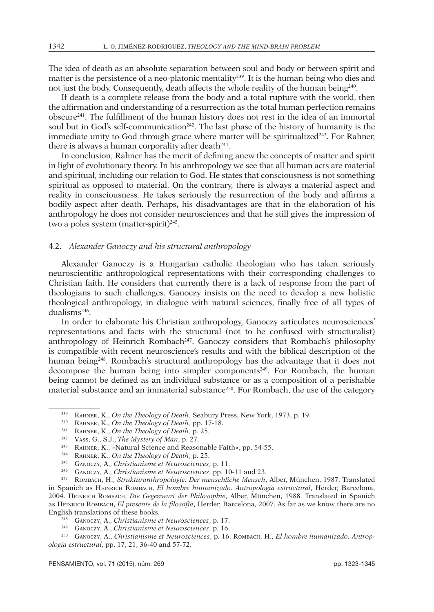The idea of death as an absolute separation between soul and body or between spirit and matter is the persistence of a neo-platonic mentality239. It is the human being who dies and not just the body. Consequently, death affects the whole reality of the human being<sup>240</sup>.

If death is a complete release from the body and a total rupture with the world, then the affirmation and understanding of a resurrection as the total human perfection remains obscure241. The fulfillment of the human history does not rest in the idea of an immortal soul but in God's self-communication<sup>242</sup>. The last phase of the history of humanity is the immediate unity to God through grace where matter will be spiritualized $243$ . For Rahner, there is always a human corporality after death<sup>244</sup>.

In conclusion, Rahner has the merit of defining anew the concepts of matter and spirit in light of evolutionary theory. In his anthropology we see that all human acts are material and spiritual, including our relation to God. He states that consciousness is not something spiritual as opposed to material. On the contrary, there is always a material aspect and reality in consciousness. He takes seriously the resurrection of the body and affirms a bodily aspect after death. Perhaps, his disadvantages are that in the elaboration of his anthropology he does not consider neurosciences and that he still gives the impression of two a poles system (matter-spirit)<sup>245</sup>.

## 4.2. *Alexander Ganoczy and his structural anthropology*

Alexander Ganoczy is a Hungarian catholic theologian who has taken seriously neuroscientific anthropological representations with their corresponding challenges to Christian faith. He considers that currently there is a lack of response from the part of theologians to such challenges. Ganoczy insists on the need to develop a new holistic theological anthropology, in dialogue with natural sciences, finally free of all types of dualisms<sup>246</sup>.

In order to elaborate his Christian anthropology, Ganoczy articulates neurosciences' representations and facts with the structural (not to be confused with structuralist) anthropology of Heinrich Rombach<sup>247</sup>. Ganoczy considers that Rombach's philosophy is compatible with recent neuroscience's results and with the biblical description of the human being248. Rombach's structural anthropology has the advantage that it does not decompose the human being into simpler components249. For Rombach, the human being cannot be defined as an individual substance or as a composition of a perishable material substance and an immaterial substance<sup>250</sup>. For Rombach, the use of the category

<sup>239</sup> Rahner, K., *On the Theology of Death*, Seabury Press, New York, 1973, p. 19.

<sup>240</sup> Rahner, K., *On the Theology of Death*, pp. 17-18.

<sup>241</sup> Rahner, K., *On the Theology of Death*, p. 25.

<sup>242</sup> Vass, G., S.J., *The Mystery of Man*, p. 27.

<sup>243</sup> Rahner, K., «Natural Science and Reasonable Faith», pp. 54-55.

<sup>244</sup> Rahner, K., *On the Theology of Death*, p. 25.

<sup>245</sup> Ganoczy, A., *Christianisme et Neurosciences*, p. 11.

<sup>246</sup> Ganoczy, A., *Christianisme et Neurosciences*, pp. 10-11 and 23.

<sup>247</sup> Rombach, H., *Strukturanthropologie: Der menschliche Mensch*, Alber, München, 1987. Translated in Spanich as Heinrich Rombach, *El hombre humanizado. Antropología estructural*, Herder, Barcelona, 2004. Heinrich Rombach, *Die Gegenwart der Philosophie*, Alber, München, 1988. Translated in Spanich as Heinrich Rombach, *El presente de la filosofía*, Herder, Barcelona, 2007. As far as we know there are no English translations of these books.

<sup>248</sup> Ganoczy, A., *Christianisme et Neurosciences*, p. 17.

<sup>249</sup> Ganoczy, A., *Christianisme et Neurosciences*, p. 16.

<sup>250</sup> Ganoczy, A., *Christianisme et Neurosciences*, p. 16. Rombach, H., *El hombre humanizado. Antropología estructural*, pp. 17, 21, 36-40 and 57-72.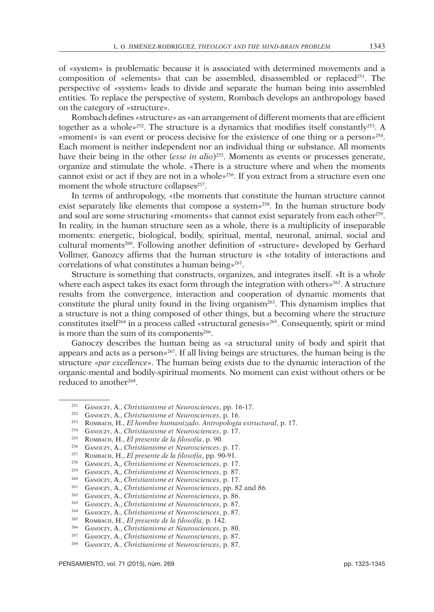of «system» is problematic because it is associated with determined movements and a composition of «elements» that can be assembled, disassembled or replaced<sup>251</sup>. The perspective of «system» leads to divide and separate the human being into assembled entities. To replace the perspective of system, Rombach develops an anthropology based on the category of «structure».

Rombach defines «structure» as «an arrangement of different moments that are efficient together as a whole»252. The structure is a dynamics that modifies itself constantly253. A «moment» is «an event or process decisive for the existence of one thing or a person»254. Each moment is neither independent nor an individual thing or substance. All moments have their being in the other (*esse in alio*)255. Moments as events or processes generate, organize and stimulate the whole. «There is a structure where and when the moments cannot exist or act if they are not in a whole»256. If you extract from a structure even one moment the whole structure collapses<sup>257</sup>.

In terms of anthropology, «the moments that constitute the human structure cannot exist separately like elements that compose a system $v^{258}$ . In the human structure body and soul are some structuring «moments» that cannot exist separately from each other<sup>259</sup>. In reality, in the human structure seen as a whole, there is a multiplicity of inseparable moments: energetic, biological, bodily, spiritual, mental, neuronal, animal, social and cultural moments<sup>260</sup>. Following another definition of «structure» developed by Gerhard Vollmer, Ganozcy affirms that the human structure is «the totality of interactions and correlations of what constitutes a human being»<sup>261</sup>.

Structure is something that constructs, organizes, and integrates itself. «It is a whole where each aspect takes its exact form through the integration with others $x^{262}$ . A structure results from the convergence, interaction and cooperation of dynamic moments that constitute the plural unity found in the living organism $263$ . This dynamism implies that a structure is not a thing composed of other things, but a becoming where the structure constitutes itself<sup>264</sup> in a process called «structural genesis»<sup>265</sup>. Consequently, spirit or mind is more than the sum of its components<sup>266</sup>.

Ganoczy describes the human being as «a structural unity of body and spirit that appears and acts as a person»267. If all living beings are structures, the human being is the structure «*par excellence*». The human being exists due to the dynamic interaction of the organic-mental and bodily-spiritual moments. No moment can exist without others or be reduced to another<sup>268</sup>.

<sup>251</sup> Ganoczy, A., *Christianisme et Neurosciences*, pp. 16-17.

<sup>252</sup> Ganoczy, A., *Christianisme et Neurosciences*, p. 16. 253 Rombach, H., *El hombre humanizado. Antropología estructural*, p. 17.

<sup>254</sup> Ganoczy, A., *Christianisme et Neurosciences*, p. 17.

<sup>255</sup> Rombach, H., *El presente de la filosofía*, p. 90.

<sup>256</sup> Ganoczy, A., *Christianisme et Neurosciences*, p. 17.

<sup>257</sup> Rombach, H., *El presente de la filosofía*, pp. 90-91.

<sup>258</sup> Ganoczy, A., *Christianisme et Neurosciences*, p. 17.

<sup>259</sup> Ganoczy, A., *Christianisme et Neurosciences*, p. 87. <sup>260</sup> Ganoczy, A., *Christianisme et Neurosciences*, p. 17.

<sup>261</sup> Ganoczy, A., *Christianisme et Neurosciences*, pp. 82 and 86.

<sup>262</sup> Ganoczy, A., *Christianisme et Neurosciences*, p. 86.

<sup>263</sup> Ganoczy, A., *Christianisme et Neurosciences*, p. 87.

<sup>264</sup> Ganoczy, A., *Christianisme et Neurosciences*, p. 87.

<sup>265</sup> Rombach, H., *El presente de la filosofía*, p. 142.

<sup>266</sup> Ganoczy, A., *Christianisme et Neurosciences*, p. 80.

<sup>267</sup> Ganoczy, A., *Christianisme et Neurosciences*, p. 87.

<sup>268</sup> Ganoczy, A., *Christianisme et Neurosciences*, p. 87.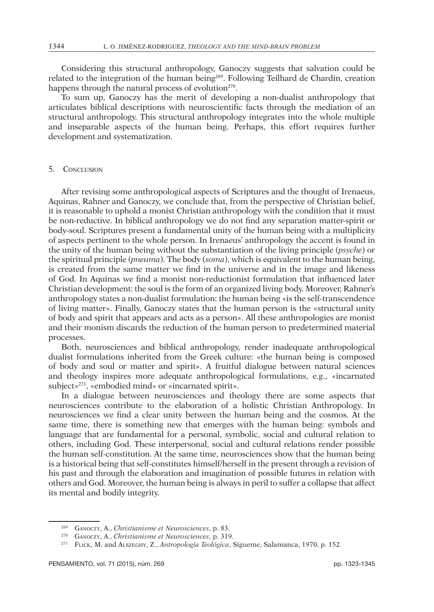Considering this structural anthropology, Ganoczy suggests that salvation could be related to the integration of the human being<sup>269</sup>. Following Teilhard de Chardin, creation happens through the natural process of evolution<sup>270</sup>.

To sum up, Ganoczy has the merit of developing a non-dualist anthropology that articulates biblical descriptions with neuroscientific facts through the mediation of an structural anthropology. This structural anthropology integrates into the whole multiple and inseparable aspects of the human being. Perhaps, this effort requires further development and systematization.

## 5. Conclusion

After revising some anthropological aspects of Scriptures and the thought of Irenaeus, Aquinas, Rahner and Ganoczy, we conclude that, from the perspective of Christian belief, it is reasonable to uphold a monist Christian anthropology with the condition that it must be non-reductive. In biblical anthropology we do not find any separation matter-spirit or body-soul. Scriptures present a fundamental unity of the human being with a multiplicity of aspects pertinent to the whole person. In Irenaeus' anthropology the accent is found in the unity of the human being without the substantiation of the living principle (*psyche*) or the spiritual principle (*pneuma*). The body (*soma*), which is equivalent to the human being, is created from the same matter we find in the universe and in the image and likeness of God. In Aquinas we find a monist non-reductionist formulation that influenced later Christian development: the soul is the form of an organized living body. Moreover, Rahner's anthropology states a non-dualist formulation: the human being «is the self-transcendence of living matter». Finally, Ganoczy states that the human person is the «structural unity of body and spirit that appears and acts as a person». All these anthropologies are monist and their monism discards the reduction of the human person to predetermined material processes.

Both, neurosciences and biblical anthropology, render inadequate anthropological dualist formulations inherited from the Greek culture: «the human being is composed of body and soul or matter and spirit». A fruitful dialogue between natural sciences and theology inspires more adequate anthropological formulations, e.g., «incarnated subject»271, «embodied mind» or «incarnated spirit».

In a dialogue between neurosciences and theology there are some aspects that neurosciences contribute to the elaboration of a holistic Christian Anthropology. In neurosciences we find a clear unity between the human being and the cosmos. At the same time, there is something new that emerges with the human being: symbols and language that are fundamental for a personal, symbolic, social and cultural relation to others, including God. These interpersonal, social and cultural relations render possible the human self-constitution. At the same time, neurosciences show that the human being is a historical being that self-constitutes himself/herself in the present through a revision of his past and through the elaboration and imagination of possible futures in relation with others and God. Moreover, the human being is always in peril to suffer a collapse that affect its mental and bodily integrity.

<sup>269</sup> Ganoczy, A., *Christianisme et Neurosciences*, p. 83.

<sup>270</sup> Ganoczy, A., *Christianisme et Neurosciences*, p. 319.

<sup>271</sup> Flick, M. and Alszeghy, Z., *Antropología Teológica*, Sígueme, Salamanca, 1970, p. 152.